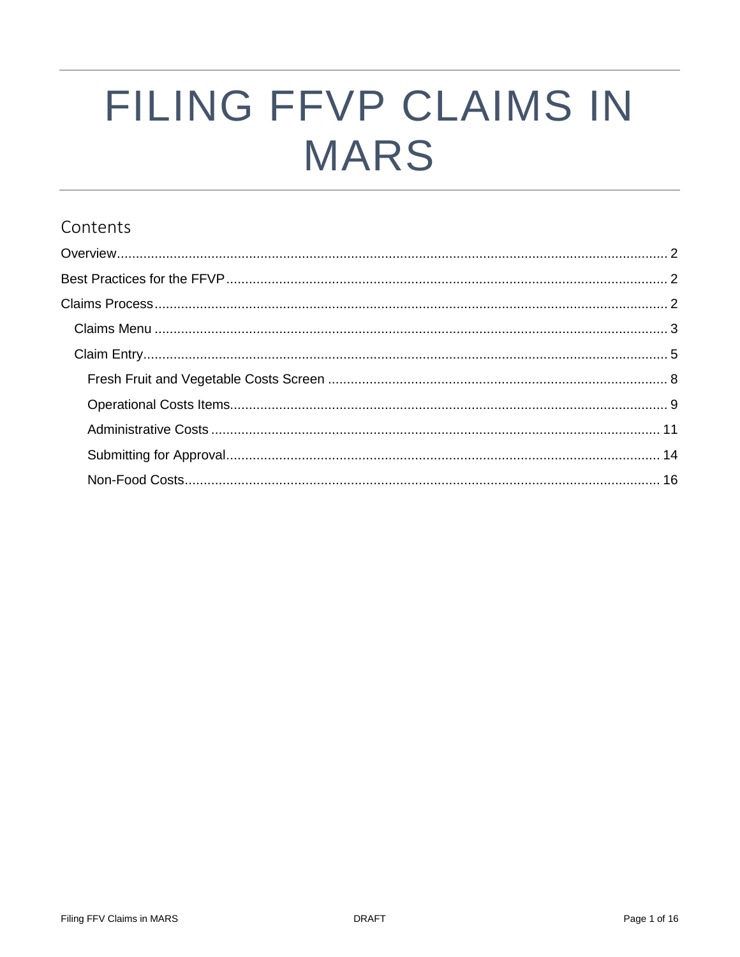# FILING FFVP CLAIMS IN **MARS**

## Contents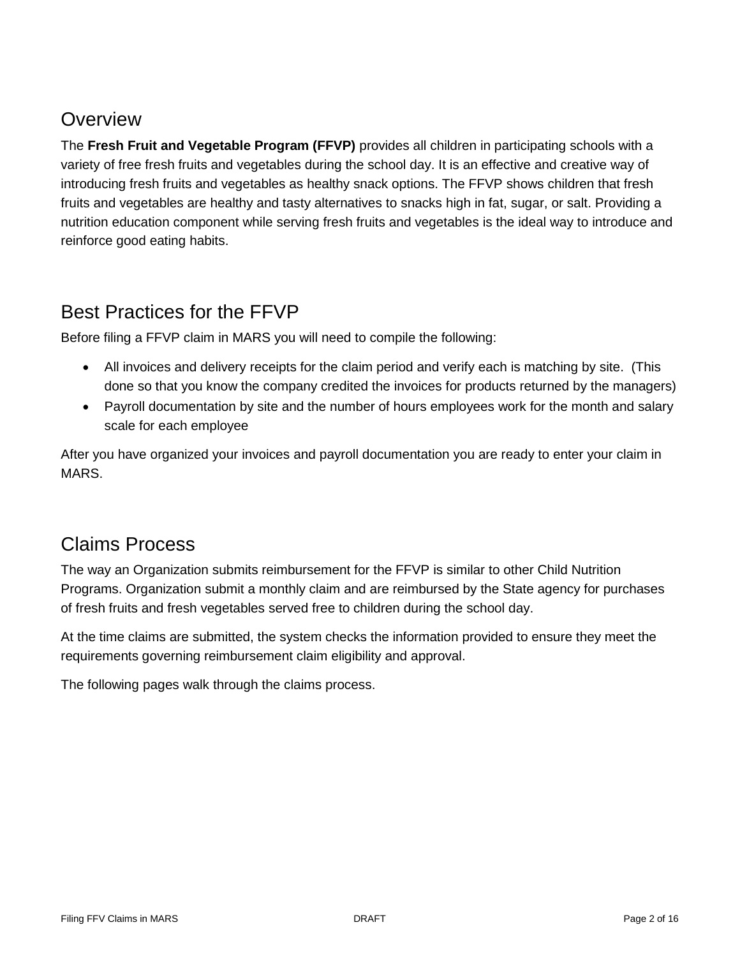# <span id="page-1-0"></span>**Overview**

The **Fresh Fruit and Vegetable Program (FFVP)** provides all children in participating schools with a variety of free fresh fruits and vegetables during the school day. It is an effective and creative way of introducing fresh fruits and vegetables as healthy snack options. The FFVP shows children that fresh fruits and vegetables are healthy and tasty alternatives to snacks high in fat, sugar, or salt. Providing a nutrition education component while serving fresh fruits and vegetables is the ideal way to introduce and reinforce good eating habits.

# <span id="page-1-1"></span>Best Practices for the FFVP

Before filing a FFVP claim in MARS you will need to compile the following:

- All invoices and delivery receipts for the claim period and verify each is matching by site. (This done so that you know the company credited the invoices for products returned by the managers)
- Payroll documentation by site and the number of hours employees work for the month and salary scale for each employee

After you have organized your invoices and payroll documentation you are ready to enter your claim in MARS.

# <span id="page-1-2"></span>Claims Process

The way an Organization submits reimbursement for the FFVP is similar to other Child Nutrition Programs. Organization submit a monthly claim and are reimbursed by the State agency for purchases of fresh fruits and fresh vegetables served free to children during the school day.

At the time claims are submitted, the system checks the information provided to ensure they meet the requirements governing reimbursement claim eligibility and approval.

The following pages walk through the claims process.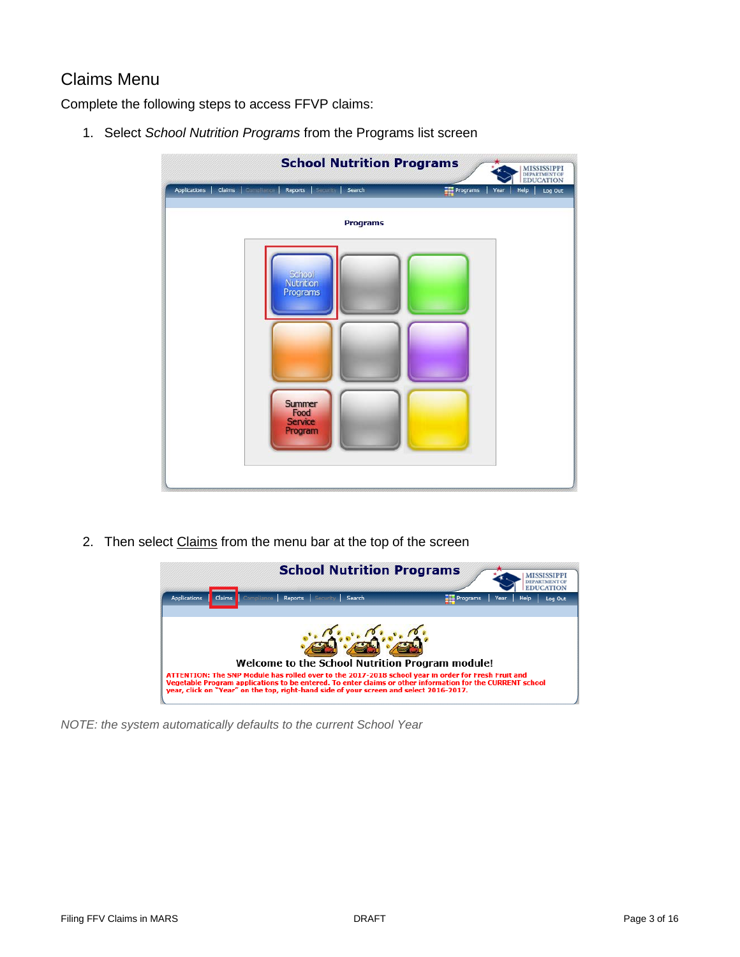### <span id="page-2-0"></span>Claims Menu

Complete the following steps to access FFVP claims:

1. Select *School Nutrition Programs* from the Programs list screen

| <b>School Nutrition Programs</b>                                               | <b>MISSISSIPPI</b><br>DEPARTMENT OF EDUCATION   |
|--------------------------------------------------------------------------------|-------------------------------------------------|
| Reports   Security   Search<br><b>Applications</b><br><b>Claims</b> Compliance | P <sub>regrams</sub><br>Help<br>Year<br>Log Out |
| <b>Programs</b>                                                                |                                                 |
| School<br>Nutrition<br>Programs<br>Summer<br>Food<br><b>Service</b><br>Program |                                                 |
|                                                                                |                                                 |

2. Then select Claims from the menu bar at the top of the screen



*NOTE: the system automatically defaults to the current School Year*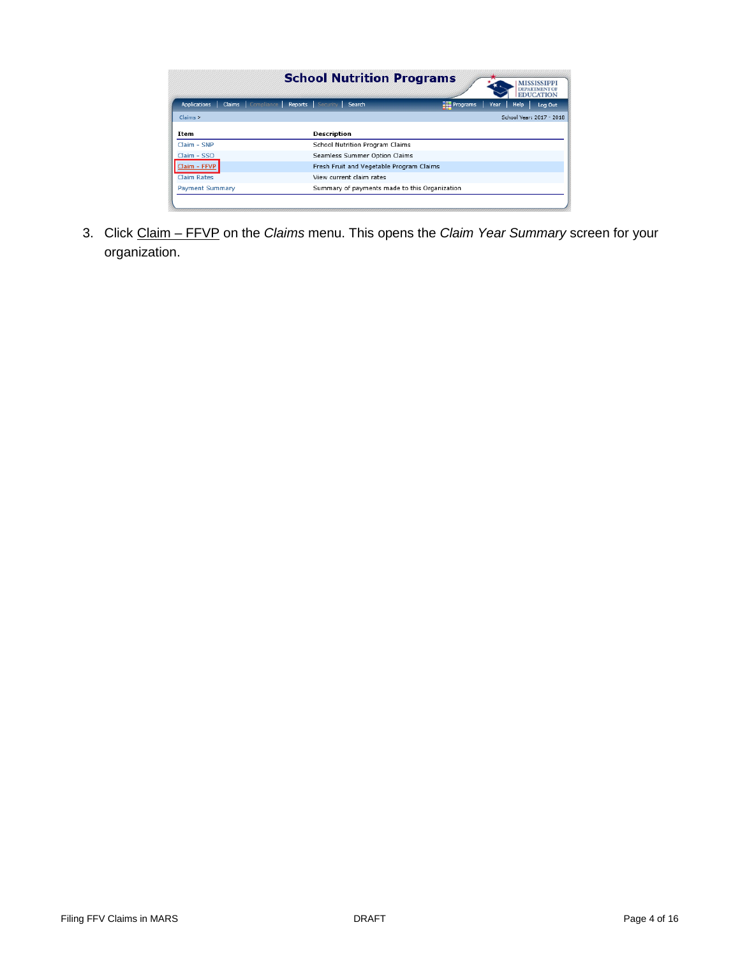|                        |                                           |                    | <b>School Nutrition Programs</b>         |                                               |      | <b>DEPARTM</b><br><b>EDUCATION</b> |         |
|------------------------|-------------------------------------------|--------------------|------------------------------------------|-----------------------------------------------|------|------------------------------------|---------|
| <b>Applications</b>    | Claims Compliance Reports Security Search |                    |                                          | P <sub>regrams</sub>                          | Year | Help                               | Log Out |
| Claims                 |                                           |                    |                                          |                                               |      | School Year: 2017 - 2018           |         |
| Item                   |                                           | <b>Description</b> |                                          |                                               |      |                                    |         |
| Claim - SNP            |                                           |                    | School Nutrition Program Claims          |                                               |      |                                    |         |
| Claim - SSO            |                                           |                    | Seamless Summer Option Claims            |                                               |      |                                    |         |
| Claim - FFVP           |                                           |                    | Fresh Fruit and Vegetable Program Claims |                                               |      |                                    |         |
| <b>Claim Rates</b>     |                                           |                    | View current claim rates                 |                                               |      |                                    |         |
| <b>Payment Summary</b> |                                           |                    |                                          | Summary of payments made to this Organization |      |                                    |         |

3. Click Claim – FFVP on the *Claims* menu. This opens the *Claim Year Summary* screen for your organization.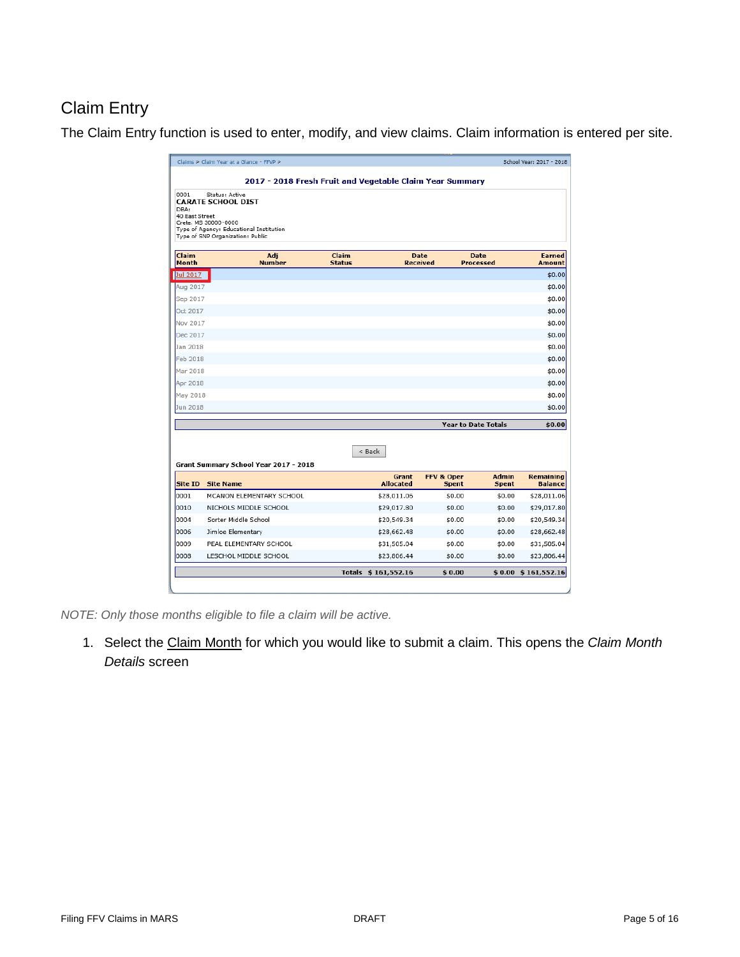## <span id="page-4-0"></span>Claim Entry

The Claim Entry function is used to enter, modify, and view claims. Claim information is entered per site.

|                                | Claims > Claim Year at a Glance - FFVP >                                                                                                           | 2017 - 2018 Fresh Fruit and Vegetable Claim Year Summary |                                |                            | School Year: 2017 - 2018           |
|--------------------------------|----------------------------------------------------------------------------------------------------------------------------------------------------|----------------------------------------------------------|--------------------------------|----------------------------|------------------------------------|
| 0001<br>DBA:<br>40 East Street | Status: Active<br><b>CARATE SCHOOL DIST</b><br>Crete, MS 30000-0000<br>Type of Agency: Educational Institution<br>Type of SNP Organization: Public |                                                          |                                |                            |                                    |
| Claim<br>Month                 | Adj<br><b>Number</b>                                                                                                                               | Claim<br><b>Status</b>                                   | <b>Date</b><br><b>Received</b> | <b>Date</b><br>Processed   | <b>Earned</b><br>Amount            |
| Jul 2017                       |                                                                                                                                                    |                                                          |                                |                            | \$0.00                             |
| Aug 2017                       |                                                                                                                                                    |                                                          |                                |                            | \$0.00                             |
| Sep 2017                       |                                                                                                                                                    |                                                          |                                |                            | \$0.00                             |
| Oct 2017                       |                                                                                                                                                    |                                                          |                                |                            | \$0.00                             |
| Nov 2017                       |                                                                                                                                                    |                                                          |                                |                            | \$0.00                             |
| Dec 2017                       |                                                                                                                                                    |                                                          |                                |                            | \$0.00                             |
| Jan 2018                       |                                                                                                                                                    |                                                          |                                |                            | \$0.00                             |
| Feb 2018                       |                                                                                                                                                    |                                                          |                                |                            | \$0.00                             |
| Mar 2018                       |                                                                                                                                                    |                                                          |                                |                            | \$0.00                             |
| Apr 2018                       |                                                                                                                                                    |                                                          |                                |                            | \$0.00                             |
| May 2018                       |                                                                                                                                                    |                                                          |                                |                            | \$0.00                             |
| Jun 2018                       |                                                                                                                                                    |                                                          |                                |                            | \$0.00                             |
|                                |                                                                                                                                                    |                                                          |                                | <b>Year to Date Totals</b> | \$0.00                             |
|                                | Grant Summary School Year 2017 - 2018                                                                                                              | $<$ Back                                                 |                                |                            |                                    |
| Site ID                        | <b>Site Name</b>                                                                                                                                   | Grant<br><b>Allocated</b>                                | FFV & Oper<br><b>Spent</b>     | Admin<br>Spent             | <b>Remaining</b><br><b>Balance</b> |
| 0001                           | MCANON ELEMENTARY SCHOOL                                                                                                                           | \$28,011.06                                              | \$0.00                         | \$0.00                     | \$28,011.06                        |
| 0010                           | NICHOLS MIDDLE SCHOOL                                                                                                                              | \$29,017.80                                              | \$0.00                         | \$0.00                     | \$29,017.80                        |
| 0004                           | Sorter Middle School                                                                                                                               | \$20,549.34                                              | \$0.00                         | \$0.00                     | \$20,549.34                        |
| 0006                           | Jimloe Elementary                                                                                                                                  | \$28,662.48                                              | \$0.00                         | \$0.00                     | \$28,662.48                        |
| 0009                           | PEAL ELEMENTARY SCHOOL                                                                                                                             | \$31,505.04                                              | \$0.00                         | \$0.00                     | \$31,505.04                        |
| 0008                           | LESCHOL MIDDLE SCHOOL                                                                                                                              | \$23,806.44                                              | \$0.00                         | \$0.00                     | \$23,806.44                        |
|                                |                                                                                                                                                    |                                                          |                                |                            |                                    |

*NOTE: Only those months eligible to file a claim will be active.*

1. Select the Claim Month for which you would like to submit a claim. This opens the *Claim Month Details* screen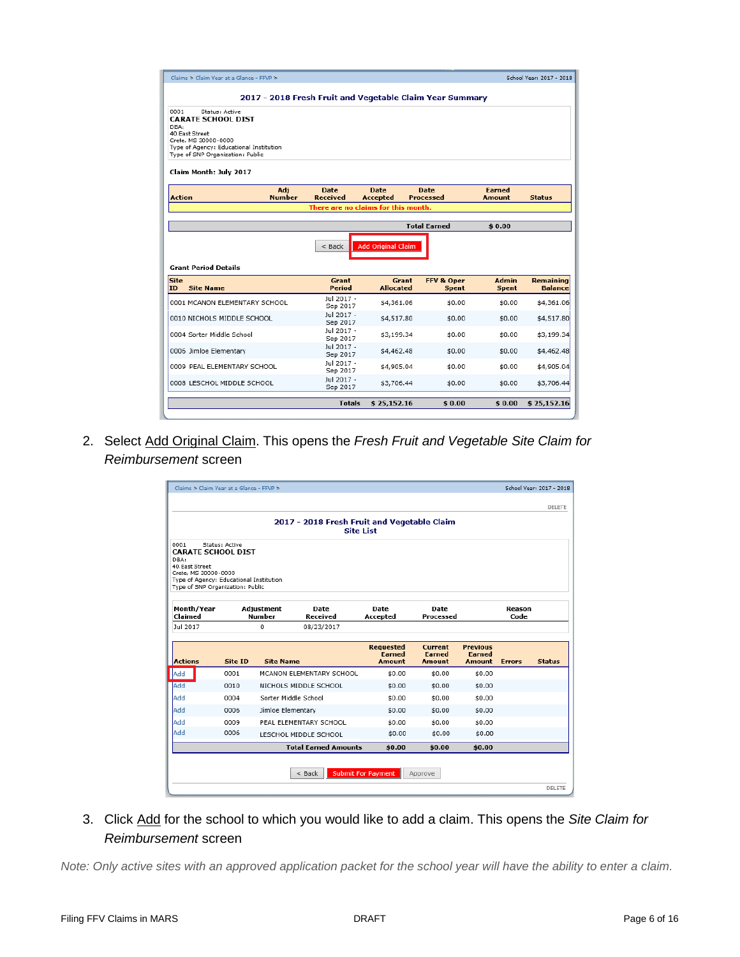| Claims > Claim Year at a Glance - FFVP >                                                                                                                                                                       |                                                          |                                     |                                 |                                | School Year: 2017 - 2018 |
|----------------------------------------------------------------------------------------------------------------------------------------------------------------------------------------------------------------|----------------------------------------------------------|-------------------------------------|---------------------------------|--------------------------------|--------------------------|
|                                                                                                                                                                                                                | 2017 - 2018 Fresh Fruit and Vegetable Claim Year Summary |                                     |                                 |                                |                          |
| 0001<br>Status: Active<br><b>CARATE SCHOOL DIST</b><br>DBA:<br>40 East Street<br>Crete, MS 30000-0000<br>Type of Agency: Educational Institution<br>Type of SNP Organization: Public<br>Claim Month: July 2017 |                                                          |                                     |                                 |                                |                          |
| Adj<br><b>Number</b><br><b>Action</b>                                                                                                                                                                          | <b>Date</b><br><b>Received</b>                           | <b>Date</b><br>Accepted             | <b>Date</b><br><b>Processed</b> | <b>Earned</b><br><b>Amount</b> | <b>Status</b>            |
|                                                                                                                                                                                                                |                                                          | There are no claims for this month. |                                 |                                |                          |
|                                                                                                                                                                                                                |                                                          |                                     | <b>Total Earned</b>             | \$0.00                         |                          |
|                                                                                                                                                                                                                |                                                          |                                     |                                 |                                |                          |
| <b>Grant Period Details</b>                                                                                                                                                                                    | $<$ Back                                                 | <b>Add Original Claim</b>           |                                 |                                |                          |
| <b>Site Name</b>                                                                                                                                                                                               | Grant<br>Period                                          | Grant<br><b>Allocated</b>           | FFV & Oper<br><b>Spent</b>      | Admin<br><b>Spent</b>          | <b>Balance</b>           |
|                                                                                                                                                                                                                | Jul 2017 -                                               | \$4,361.06                          | \$0.00                          | \$0.00                         | Remaining<br>\$4,361.06  |
|                                                                                                                                                                                                                | Sep 2017<br>Jul 2017 -                                   | \$4,517.80                          | \$0.00                          | \$0.00                         | \$4,517.80               |
|                                                                                                                                                                                                                | Sep 2017<br>Jul 2017 -<br>Sep 2017                       | \$3,199.34                          | \$0.00                          | \$0.00                         | \$3,199.34               |
|                                                                                                                                                                                                                | Jul 2017 -<br>Sep 2017                                   | \$4,462.48                          | \$0.00                          | \$0.00                         | \$4,462.48               |
| Site<br>ID<br>0001 MCANON ELEMENTARY SCHOOL<br>0010 NICHOLS MIDDLE SCHOOL<br>0004 Sorter Middle School<br>0006 Jimloe Elementary<br>0009 PEAL ELEMENTARY SCHOOL                                                | Jul 2017 -<br>Sep 2017                                   | \$4,905.04                          | \$0.00                          | \$0.00                         | \$4,905.04               |
| 0008 LESCHOL MIDDLE SCHOOL                                                                                                                                                                                     | Jul 2017 -<br>Sep 2017                                   | \$3,706.44                          | \$0.00                          | \$0.00                         | \$3,706.44               |

2. Select Add Original Claim. This opens the *Fresh Fruit and Vegetable Site Claim for Reimbursement* screen

|                                                                                                                                                                     |                |                             | 2017 - 2018 Fresh Fruit and Vegetable Claim<br><b>Site List</b> |                                             |                                           |                                            |                |               |
|---------------------------------------------------------------------------------------------------------------------------------------------------------------------|----------------|-----------------------------|-----------------------------------------------------------------|---------------------------------------------|-------------------------------------------|--------------------------------------------|----------------|---------------|
| 0001<br><b>CARATE SCHOOL DIST</b><br>DBA:<br>40: East Street<br>Crete, MS 30000-0000<br>Type of Agency: Educational Institution<br>Type of SNP Organization: Public | Status: Active |                             |                                                                 |                                             |                                           |                                            |                |               |
| Month/Year<br>Claimed                                                                                                                                               |                | Adjustment<br><b>Number</b> | <b>Date</b><br>Received                                         | <b>Date</b><br>Accepted                     | <b>Date</b><br>Processed                  |                                            | Reason<br>Code |               |
| Jul 2017                                                                                                                                                            |                | 0                           | 08/23/2017                                                      |                                             |                                           |                                            |                |               |
| <b>Actions</b>                                                                                                                                                      | Site ID        | <b>Site Name</b>            |                                                                 | <b>Requested</b><br><b>Farned</b><br>Amount | Current<br><b>Earned</b><br><b>Amount</b> | <b>Previous</b><br><b>Farned</b><br>Amount | <b>Errors</b>  | <b>Status</b> |
| Add                                                                                                                                                                 | 0001           |                             | MCANON ELEMENTARY SCHOOL                                        | \$0.00                                      | \$0.00                                    | \$0.00                                     |                |               |
| Add                                                                                                                                                                 | 0010           |                             | NICHOLS MIDDLE SCHOOL                                           | \$0.00                                      | \$0.00                                    | \$0.00                                     |                |               |
| Add                                                                                                                                                                 | 0004           | Sorter Middle School        |                                                                 | \$0.00                                      | \$0.00                                    | \$0.00                                     |                |               |
| Add                                                                                                                                                                 | 0006           | Jimloe Elementary           |                                                                 | \$0.00                                      | \$0.00                                    | \$0.00                                     |                |               |
| Add                                                                                                                                                                 | 0009           |                             | PEAL ELEMENTARY SCHOOL                                          | \$0.00                                      | \$0.00                                    | \$0.00                                     |                |               |
| Add                                                                                                                                                                 | 0006           |                             | LESCHOL MIDDLE SCHOOL                                           | \$0.00                                      | \$0.00                                    | \$0.00                                     |                |               |
|                                                                                                                                                                     |                |                             | <b>Total Earned Amounts</b>                                     | \$0.00                                      | \$0.00                                    | \$0.00                                     |                |               |

3. Click Add for the school to which you would like to add a claim. This opens the *Site Claim for Reimbursement* screen

*Note: Only active sites with an approved application packet for the school year will have the ability to enter a claim.*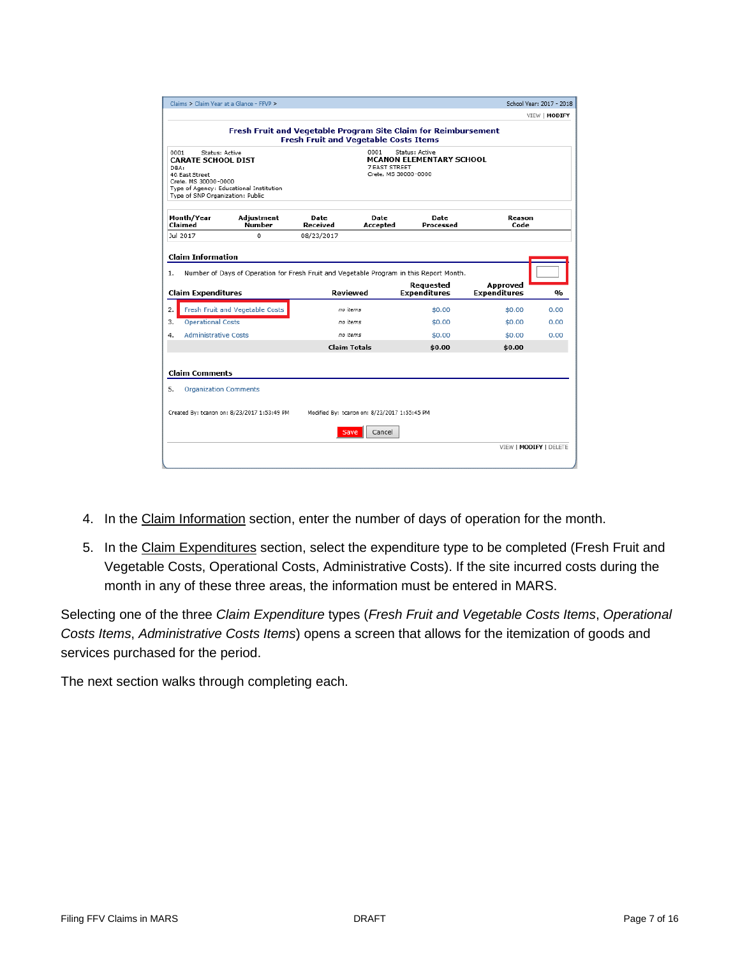| Claims > Claim Year at a Glance - FFVP >                                                                                                   |                                                                                         |                                              |                                               |                                                   | School Year: 2017 - 2018        |                      |
|--------------------------------------------------------------------------------------------------------------------------------------------|-----------------------------------------------------------------------------------------|----------------------------------------------|-----------------------------------------------|---------------------------------------------------|---------------------------------|----------------------|
|                                                                                                                                            |                                                                                         |                                              |                                               |                                                   |                                 | VIEW   MODIFY        |
|                                                                                                                                            | Fresh Fruit and Vegetable Program Site Claim for Reimbursement                          | <b>Fresh Fruit and Vegetable Costs Items</b> |                                               |                                                   |                                 |                      |
| 0001<br>Status: Active<br><b>CARATE SCHOOL DIST</b><br>DBA:<br>40: East Street<br>Crete, MS 30000-0000<br>Type of SNP Organization: Public | Type of Agency: Educational Institution                                                 |                                              | 0001<br>7 EAST STREET<br>Crete, MS 30000-0000 | Status: Active<br><b>MCANON ELEMENTARY SCHOOL</b> |                                 |                      |
| Month/Year<br>Claimed                                                                                                                      | Adjustment<br>Number                                                                    | <b>Date</b><br>Received                      | Date<br>Accepted                              | <b>Date</b><br>Processed                          | Reason<br>Code                  |                      |
| Jul 2017                                                                                                                                   | 0                                                                                       | 08/23/2017                                   |                                               |                                                   |                                 |                      |
|                                                                                                                                            |                                                                                         |                                              |                                               |                                                   |                                 |                      |
|                                                                                                                                            | Number of Days of Operation for Fresh Fruit and Vegetable Program in this Report Month. | Reviewed                                     |                                               | Requested<br><b>Expenditures</b>                  | Approved<br><b>Expenditures</b> | 0/n                  |
|                                                                                                                                            | Fresh Fruit and Vegetable Costs                                                         | no items                                     |                                               | \$0.00                                            | \$0.00                          |                      |
| <b>Operational Costs</b>                                                                                                                   |                                                                                         | no items                                     |                                               | \$0.00                                            | \$0.00                          |                      |
| <b>Administrative Costs</b>                                                                                                                |                                                                                         | no items                                     |                                               | \$0.00                                            | \$0.00                          |                      |
| <b>Claim Information</b><br>1.<br><b>Claim Expenditures</b><br>2.<br>3.<br>4.                                                              |                                                                                         | <b>Claim Totals</b>                          |                                               | \$0.00                                            | \$0.00                          | 0.00<br>0.00<br>0.00 |
| <b>Claim Comments</b>                                                                                                                      |                                                                                         |                                              |                                               |                                                   |                                 |                      |
| <b>Organization Comments</b><br>5.                                                                                                         |                                                                                         |                                              |                                               |                                                   |                                 |                      |
|                                                                                                                                            |                                                                                         |                                              |                                               |                                                   |                                 |                      |
|                                                                                                                                            | Created By: tcanpn on: 8/23/2017 1:53:49 PM                                             |                                              | Modified By: tcanpn on: 8/23/2017 1:55:45 PM  |                                                   |                                 |                      |
|                                                                                                                                            |                                                                                         | Save                                         | Cancel                                        |                                                   |                                 |                      |
|                                                                                                                                            |                                                                                         |                                              |                                               |                                                   | VIEW   MODIFY   DELETE          |                      |

- 4. In the Claim Information section, enter the number of days of operation for the month.
- 5. In the Claim Expenditures section, select the expenditure type to be completed (Fresh Fruit and Vegetable Costs, Operational Costs, Administrative Costs). If the site incurred costs during the month in any of these three areas, the information must be entered in MARS.

Selecting one of the three *Claim Expenditure* types (*Fresh Fruit and Vegetable Costs Items*, *Operational Costs Items*, *Administrative Costs Items*) opens a screen that allows for the itemization of goods and services purchased for the period.

The next section walks through completing each.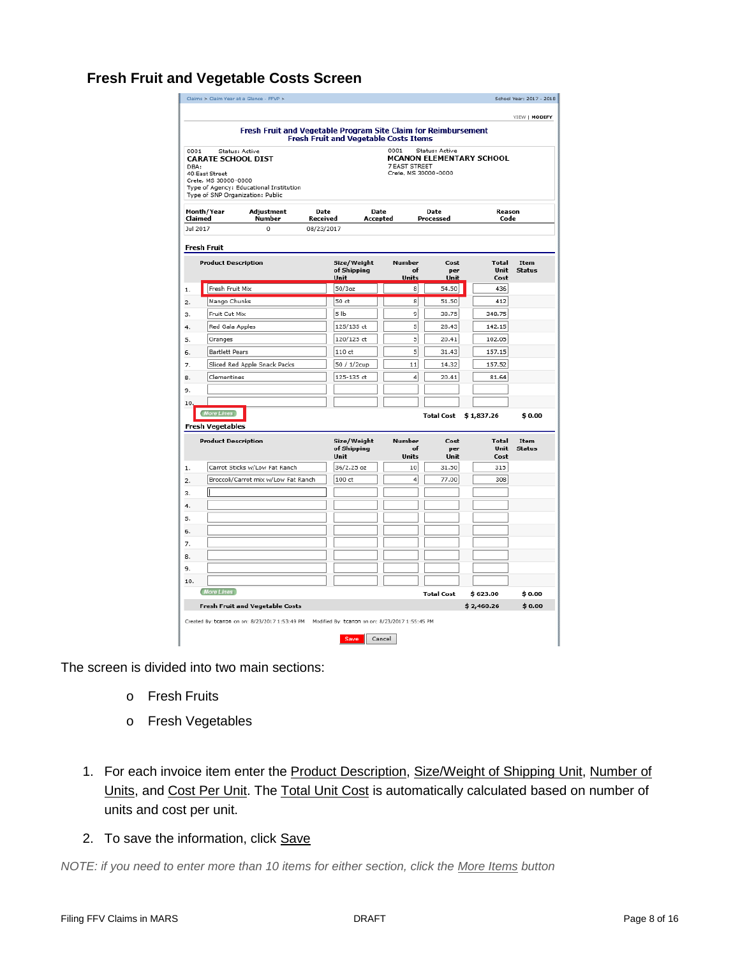#### <span id="page-7-0"></span>**Fresh Fruit and Vegetable Costs Screen**

| Claims > Claim Year at a Glance - FFVP >         |                                                                      |                        |                                                         |          |               |                      |                                 | School Year: 2017 - 2018 |
|--------------------------------------------------|----------------------------------------------------------------------|------------------------|---------------------------------------------------------|----------|---------------|----------------------|---------------------------------|--------------------------|
|                                                  |                                                                      |                        |                                                         |          |               |                      |                                 | VIEW   MODIFY            |
|                                                  | Fresh Fruit and Vegetable Program Site Claim for Reimbursement       |                        |                                                         |          |               |                      |                                 |                          |
|                                                  |                                                                      |                        | <b>Fresh Fruit and Vegetable Costs Items</b>            |          | 0001          | Status: Active       |                                 |                          |
| Status: Active<br>0001<br>CARATE SCHOOL DIST     |                                                                      |                        |                                                         |          |               |                      | <b>MCANON ELEMENTARY SCHOOL</b> |                          |
| DBA:<br>40: East Street                          |                                                                      |                        |                                                         |          | 7 EAST STREET | Crete, MS 30000-0000 |                                 |                          |
| Crete, MS 30000-0000                             |                                                                      |                        |                                                         |          |               |                      |                                 |                          |
| Type of SNP Organization: Public                 | Type of Agency: Educational Institution                              |                        |                                                         |          |               |                      |                                 |                          |
| Month/Year                                       | Adjustment                                                           | Date                   |                                                         | Date     |               | Date                 | Reason                          |                          |
| Claimed<br>Jul 2017                              | Number<br>$\theta$                                                   | Received<br>08/23/2017 |                                                         | Accepted |               | Processed            | Code                            |                          |
|                                                  |                                                                      |                        |                                                         |          |               |                      |                                 |                          |
| <b>Fresh Fruit</b><br><b>Product Description</b> |                                                                      |                        | Size/Weight                                             |          | Number        | Cost                 | <b>Total</b>                    | Item                     |
|                                                  |                                                                      |                        | of Shipping<br>Unit                                     |          | of<br>Units   | per<br>Unit          | Unit<br>Cost                    | <b>Status</b>            |
| Fresh Fruit Mix<br>1.                            |                                                                      |                        | $50/3$ oz                                               |          | 8             | 54.50                | 436                             |                          |
| Mango Chunks<br>2.                               |                                                                      |                        | 50 ct                                                   |          | 8             | 51.50                | 412                             |                          |
| Fruit Cut Mix<br>з.                              |                                                                      |                        | 5 <sub>1b</sub>                                         |          | 9             | 38.75                | 348.75                          |                          |
| Red Gala Apples<br>4.                            |                                                                      |                        | 125/135 ct                                              |          | 5             | 28.43                | 142.15                          |                          |
| Oranges<br>5.                                    |                                                                      |                        | 120/125 ct                                              |          | 5             | 20.41                | 102.05                          |                          |
| <b>Bartlett Pears</b><br>6.                      |                                                                      |                        | 110 ct                                                  |          | 5             | 31.43                | 157.15                          |                          |
| 7.                                               | Sliced Red Apple Snack Packs                                         |                        | 50 / 1/2cup                                             |          | 11            | 14.32                | 157.52                          |                          |
| Clementines<br>8.                                |                                                                      |                        | 125-135 ct                                              |          | 4             | 20.41                | 81.64                           |                          |
| 9.                                               |                                                                      |                        |                                                         |          |               |                      |                                 |                          |
| 10                                               |                                                                      |                        |                                                         |          |               |                      |                                 |                          |
| <b>More Lines</b><br><b>Fresh Vegetables</b>     |                                                                      |                        |                                                         |          |               | <b>Total Cost</b>    | \$1,837.26                      | \$0.00                   |
| <b>Product Description</b>                       |                                                                      |                        | Size/Weight                                             |          | Number        | Cost                 | <b>Total</b>                    | Item                     |
|                                                  |                                                                      |                        | of Shipping                                             |          | of            | per                  | Unit                            | <b>Status</b>            |
|                                                  |                                                                      |                        | Unit                                                    |          | Units<br>10   | Unit                 | Cost<br>315                     |                          |
| 1.<br>2.                                         | Carrot Sticks w/Low Fat Ranch<br>Broccoli/Carrot mix w/Low Fat Ranch |                        | 36/2.25 oz<br>100 ct                                    |          | 4             | 31.50<br>77.00       | 308                             |                          |
| з.                                               |                                                                      |                        |                                                         |          |               |                      |                                 |                          |
| 4.                                               |                                                                      |                        |                                                         |          |               |                      |                                 |                          |
| 5.                                               |                                                                      |                        |                                                         |          |               |                      |                                 |                          |
| 6.                                               |                                                                      |                        |                                                         |          |               |                      |                                 |                          |
| 7.                                               |                                                                      |                        |                                                         |          |               |                      |                                 |                          |
| 8.                                               |                                                                      |                        |                                                         |          |               |                      |                                 |                          |
| 9.                                               |                                                                      |                        |                                                         |          |               |                      |                                 |                          |
| 10.                                              |                                                                      |                        |                                                         |          |               |                      |                                 |                          |
| More Lines                                       |                                                                      |                        |                                                         |          |               | <b>Total Cost</b>    | \$ 623.00                       | \$0.00                   |
|                                                  | <b>Fresh Fruit and Vegetable Costs</b>                               |                        |                                                         |          |               |                      | \$2,460.26                      | \$0.00                   |
|                                                  | Created By: tcanon on on: 8/23/2017 1:53:49 PM                       |                        | Modified By: tcanon on on: 8/23/2017 1:55:45 PM<br>Save | Cancel   |               |                      |                                 |                          |

The screen is divided into two main sections:

- o Fresh Fruits
- o Fresh Vegetables
- 1. For each invoice item enter the Product Description, Size/Weight of Shipping Unit, Number of Units, and Cost Per Unit. The Total Unit Cost is automatically calculated based on number of units and cost per unit.
- 2. To save the information, click Save

*NOTE: if you need to enter more than 10 items for either section, click the More Items button*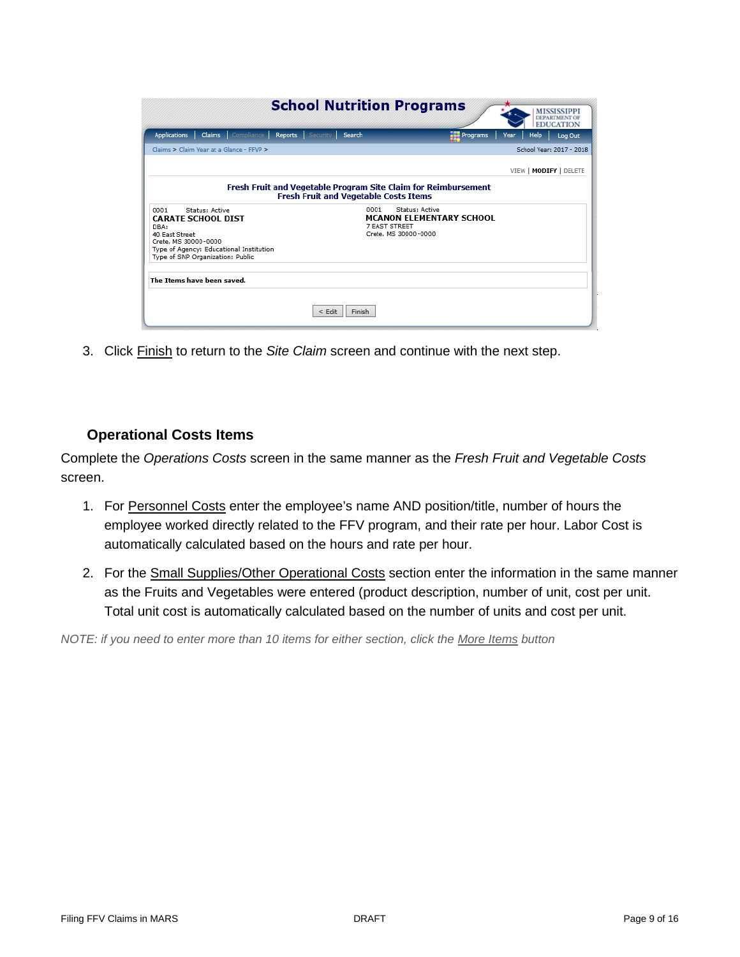|                                                                 | <b>School Nutrition Programs</b>                                                                        |                                 |                      | <b>MISSISSIPP</b><br><b>EDUCATION</b> |         |
|-----------------------------------------------------------------|---------------------------------------------------------------------------------------------------------|---------------------------------|----------------------|---------------------------------------|---------|
| <b>Applications</b>                                             | Claims Compliance Reports Security Search                                                               |                                 | P <sub>regrams</sub> | Help<br>Year                          | Log Out |
| Claims > Claim Year at a Glance - FEVP >                        |                                                                                                         |                                 |                      | School Year: 2017 - 2018              |         |
|                                                                 |                                                                                                         |                                 |                      | VIEW   MODIFY   DELETE                |         |
|                                                                 | Fresh Fruit and Vegetable Program Site Claim for Reimbursement<br>Fresh Fruit and Vegetable Costs Items |                                 |                      |                                       |         |
| Status: Active<br>0001                                          |                                                                                                         | Status: Active<br>0001          |                      |                                       |         |
| <b>CARATE SCHOOL DIST</b>                                       |                                                                                                         | <b>MCANON ELEMENTARY SCHOOL</b> |                      |                                       |         |
| DBA:                                                            |                                                                                                         | 7 EAST STREET                   |                      |                                       |         |
| 40: East Street                                                 |                                                                                                         | Crete, MS 30000-0000            |                      |                                       |         |
| Crete, MS 30000-0000<br>Type of Agency: Educational Institution |                                                                                                         |                                 |                      |                                       |         |
| Type of SNP Organization: Public                                |                                                                                                         |                                 |                      |                                       |         |
|                                                                 |                                                                                                         |                                 |                      |                                       |         |
| The Items have been saved.                                      |                                                                                                         |                                 |                      |                                       |         |
|                                                                 | $<$ Edit                                                                                                | Finish                          |                      |                                       |         |

3. Click Finish to return to the *Site Claim* screen and continue with the next step.

#### **Operational Costs Items**

<span id="page-8-0"></span>Complete the *Operations Costs* screen in the same manner as the *Fresh Fruit and Vegetable Costs* screen.

- 1. For Personnel Costs enter the employee's name AND position/title, number of hours the employee worked directly related to the FFV program, and their rate per hour. Labor Cost is automatically calculated based on the hours and rate per hour.
- 2. For the Small Supplies/Other Operational Costs section enter the information in the same manner as the Fruits and Vegetables were entered (product description, number of unit, cost per unit. Total unit cost is automatically calculated based on the number of units and cost per unit.

*NOTE: if you need to enter more than 10 items for either section, click the More Items button*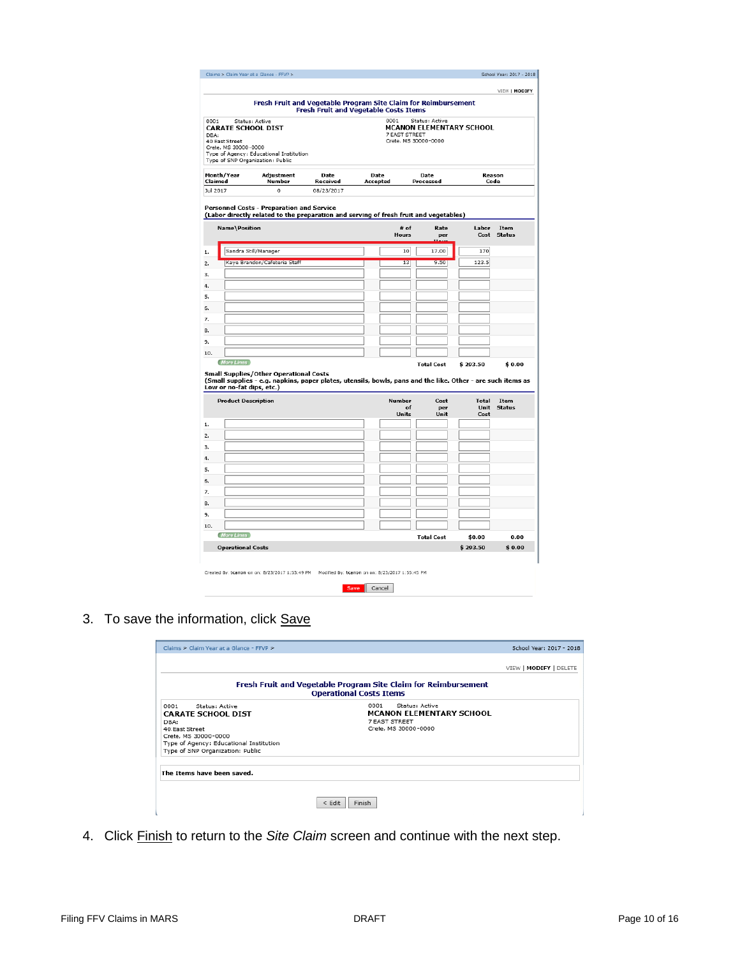|                                                                                     |                                                                                                                                                       | Fresh Fruit and Vegetable Program Site Claim for Reimbursement<br><b>Fresh Fruit and Vegetable Costs Items</b> |                  |                                               |                   |                          |                       |
|-------------------------------------------------------------------------------------|-------------------------------------------------------------------------------------------------------------------------------------------------------|----------------------------------------------------------------------------------------------------------------|------------------|-----------------------------------------------|-------------------|--------------------------|-----------------------|
| 0001<br><b>CARATE SCHOOL DIST</b><br>DBA:<br>40 East Street<br>Crete, MS 30000-0000 | Status: Active<br>Type of Agency: Educational Institution<br>Type of SNP Organization: Public                                                         |                                                                                                                |                  | 0001<br>7 FAST STREET<br>Crete, MS 30000-0000 | Status: Active    | MCANON ELEMENTARY SCHOOL |                       |
| Month/Year<br>Claimed                                                               | Adjustment<br>Number                                                                                                                                  | Date<br>Received                                                                                               | Date<br>Accepted |                                               | Date<br>Processed | Reason<br>Code           |                       |
| Jul 2017                                                                            | $\theta$<br>Personnel Costs - Preparation and Service<br>(Labor directly related to the preparation and serving of fresh fruit and vegetables)        | 08/23/2017                                                                                                     |                  |                                               |                   |                          |                       |
| Name\Position                                                                       |                                                                                                                                                       |                                                                                                                |                  | # of<br>Hours                                 | Rate<br>per       | Labor<br>Cost            | Item<br><b>Status</b> |
|                                                                                     | Sandra Still/Manager                                                                                                                                  |                                                                                                                |                  | 10                                            | 17.00             | 170                      |                       |
|                                                                                     | Kaye Brandon/Cafeteria Staff                                                                                                                          |                                                                                                                |                  | 13                                            | 9.50              | 123.5                    |                       |
|                                                                                     |                                                                                                                                                       |                                                                                                                |                  |                                               |                   |                          |                       |
|                                                                                     |                                                                                                                                                       |                                                                                                                |                  |                                               |                   |                          |                       |
|                                                                                     |                                                                                                                                                       |                                                                                                                |                  |                                               |                   |                          |                       |
|                                                                                     |                                                                                                                                                       |                                                                                                                |                  |                                               |                   |                          |                       |
|                                                                                     |                                                                                                                                                       |                                                                                                                |                  |                                               |                   |                          |                       |
|                                                                                     |                                                                                                                                                       |                                                                                                                |                  |                                               |                   |                          |                       |
|                                                                                     |                                                                                                                                                       |                                                                                                                |                  |                                               |                   |                          |                       |
| 10.<br>More Lines                                                                   |                                                                                                                                                       |                                                                                                                |                  |                                               |                   |                          |                       |
| Low or no-fat dips, etc.)                                                           | Small Supplies/Other Operational Costs<br>(Small supplies - e.g. napkins, paper plates, utensils, bowls, pans and the like. Other - are such items as |                                                                                                                |                  |                                               | <b>Total Cost</b> | \$293.50                 | \$0.00                |
|                                                                                     |                                                                                                                                                       |                                                                                                                |                  | Number<br>of                                  | Cost<br>per       | <b>Total</b><br>Unit     | Item<br><b>Status</b> |
| <b>Product Description</b>                                                          |                                                                                                                                                       |                                                                                                                |                  | <b>Units</b>                                  | Unit              | Cost                     |                       |
|                                                                                     |                                                                                                                                                       |                                                                                                                |                  |                                               |                   |                          |                       |
|                                                                                     |                                                                                                                                                       |                                                                                                                |                  |                                               |                   |                          |                       |
|                                                                                     |                                                                                                                                                       |                                                                                                                |                  |                                               |                   |                          |                       |
|                                                                                     |                                                                                                                                                       |                                                                                                                |                  |                                               |                   |                          |                       |
|                                                                                     |                                                                                                                                                       |                                                                                                                |                  |                                               |                   |                          |                       |
|                                                                                     |                                                                                                                                                       |                                                                                                                |                  |                                               |                   |                          |                       |
|                                                                                     |                                                                                                                                                       |                                                                                                                |                  |                                               |                   |                          |                       |
|                                                                                     |                                                                                                                                                       |                                                                                                                |                  |                                               |                   |                          |                       |
|                                                                                     |                                                                                                                                                       |                                                                                                                |                  |                                               |                   |                          |                       |
| 10.                                                                                 |                                                                                                                                                       |                                                                                                                |                  |                                               |                   |                          |                       |
| <b>More Lines</b>                                                                   |                                                                                                                                                       |                                                                                                                |                  |                                               |                   |                          |                       |
| <b>Operational Costs</b>                                                            |                                                                                                                                                       |                                                                                                                |                  |                                               | <b>Total Cost</b> | \$0.00<br>\$293.50       | 0.00<br>\$0.00        |

3. To save the information, click Save

| Claims > Claim Year at a Glance - FFVP >                                                                                                                                             |                                                                                                    | School Year: 2017 - 2018 |
|--------------------------------------------------------------------------------------------------------------------------------------------------------------------------------------|----------------------------------------------------------------------------------------------------|--------------------------|
|                                                                                                                                                                                      |                                                                                                    | VIEW   MODIFY   DELETE   |
|                                                                                                                                                                                      | Fresh Fruit and Vegetable Program Site Claim for Reimbursement<br><b>Operational Costs Items</b>   |                          |
| Status: Active<br>0001<br><b>CARATE SCHOOL DIST</b><br>DBA:<br>40 East Street<br>Crete, MS 30000-0000<br>Type of Agency: Educational Institution<br>Type of SNP Organization: Public | Status: Active<br>0001<br><b>MCANON ELEMENTARY SCHOOL</b><br>7 EAST STREET<br>Crete, MS 30000-0000 |                          |
| The Items have been saved.                                                                                                                                                           |                                                                                                    |                          |
|                                                                                                                                                                                      | < Edit<br>Finish                                                                                   |                          |

4. Click Finish to return to the *Site Claim* screen and continue with the next step.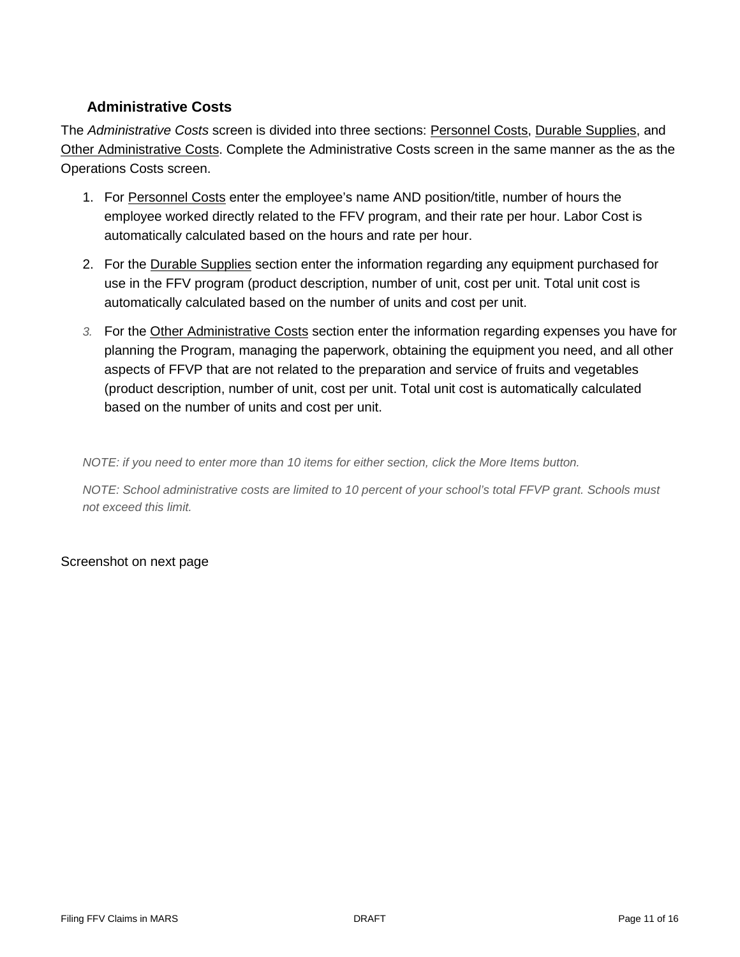#### **Administrative Costs**

<span id="page-10-0"></span>The *Administrative Costs* screen is divided into three sections: Personnel Costs, Durable Supplies, and Other Administrative Costs. Complete the Administrative Costs screen in the same manner as the as the Operations Costs screen.

- 1. For Personnel Costs enter the employee's name AND position/title, number of hours the employee worked directly related to the FFV program, and their rate per hour. Labor Cost is automatically calculated based on the hours and rate per hour.
- 2. For the Durable Supplies section enter the information regarding any equipment purchased for use in the FFV program (product description, number of unit, cost per unit. Total unit cost is automatically calculated based on the number of units and cost per unit.
- *3.* For the Other Administrative Costs section enter the information regarding expenses you have for planning the Program, managing the paperwork, obtaining the equipment you need, and all other aspects of FFVP that are not related to the preparation and service of fruits and vegetables (product description, number of unit, cost per unit. Total unit cost is automatically calculated based on the number of units and cost per unit.

*NOTE: if you need to enter more than 10 items for either section, click the More Items button.*

*NOTE: School administrative costs are limited to 10 percent of your school's total FFVP grant. Schools must not exceed this limit.*

#### Screenshot on next page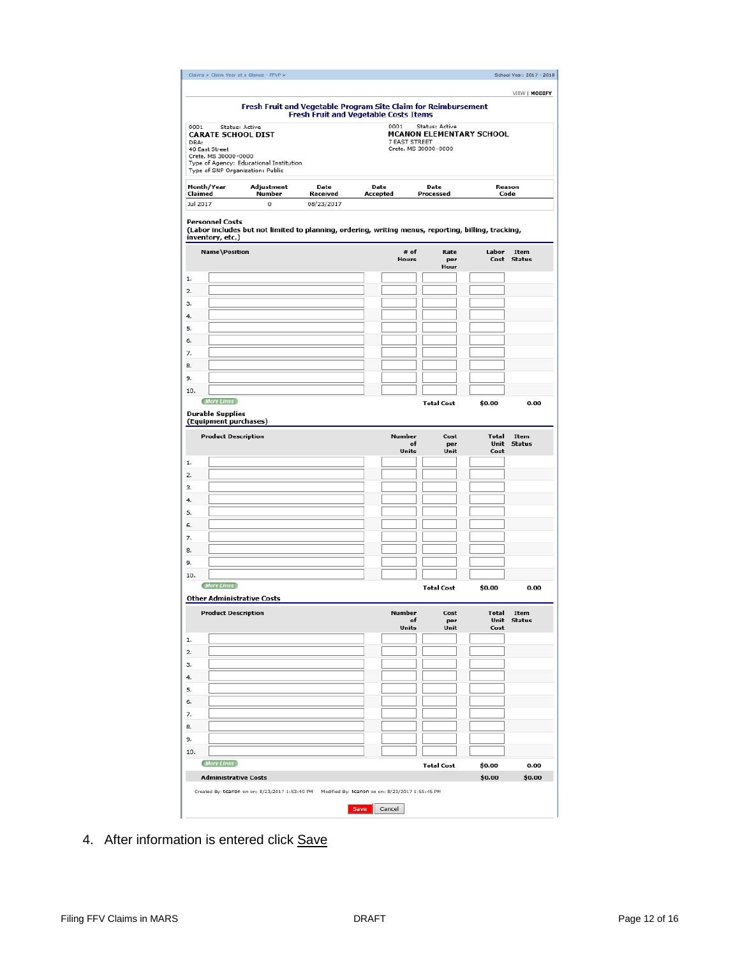|                                                                                                                                                   |                                              |                                            |                              | School Year: 2017 - 2018   |
|---------------------------------------------------------------------------------------------------------------------------------------------------|----------------------------------------------|--------------------------------------------|------------------------------|----------------------------|
| Fresh Fruit and Vegetable Program Site Claim for Reimbursement                                                                                    |                                              |                                            |                              | VIEW   MODIFY              |
|                                                                                                                                                   | <b>Fresh Fruit and Vegetable Costs Items</b> |                                            |                              |                            |
| 0001<br>Status: Active<br><b>CARATE SCHOOL DIST</b><br>DBA:                                                                                       | 0001<br>7 EAST STREET                        | Status: Active<br>MCANON ELEMENTARY SCHOOL |                              |                            |
| 40 East Street<br>Crete, MS 30000-0000<br>Type of Agency: Educational Institution                                                                 |                                              | Crete, MS 30000-0000                       |                              |                            |
| Type of SNP Organization: Public<br>Month/Year<br>Adjustment<br>Date<br>Claimed<br>Number<br>Received                                             | Date                                         | Date                                       |                              | Reason                     |
| Jul 2017<br>0<br>08/23/2017                                                                                                                       | Accepted                                     | Processed                                  |                              | Code                       |
| <b>Personnel Costs</b><br>(Labor includes but not limited to planning, ordering, writing menus, reporting, billing, tracking,<br>inventory, etc.) |                                              |                                            |                              |                            |
| Name\Position                                                                                                                                     | # of<br>Hours                                | Rate<br>per<br>Hour                        | Labor<br>Cost                | Item<br><b>Status</b>      |
|                                                                                                                                                   |                                              |                                            |                              |                            |
|                                                                                                                                                   |                                              |                                            |                              |                            |
|                                                                                                                                                   |                                              |                                            |                              |                            |
|                                                                                                                                                   |                                              |                                            |                              |                            |
|                                                                                                                                                   |                                              |                                            |                              |                            |
|                                                                                                                                                   |                                              |                                            |                              |                            |
|                                                                                                                                                   |                                              |                                            |                              |                            |
|                                                                                                                                                   |                                              |                                            |                              |                            |
| 10.                                                                                                                                               |                                              |                                            |                              |                            |
| More Lines                                                                                                                                        |                                              | <b>Total Cost</b>                          | \$0.00                       | 0.00                       |
| <b>Durable Supplies</b>                                                                                                                           |                                              |                                            |                              |                            |
| (Equipment purchases)                                                                                                                             |                                              |                                            |                              |                            |
| <b>Product Description</b>                                                                                                                        | Number<br>Units                              | Cost<br>of<br>per<br>Unit                  | <b>Total</b><br>Unit<br>Cost | Item<br><b>Status</b>      |
|                                                                                                                                                   |                                              |                                            |                              |                            |
|                                                                                                                                                   |                                              |                                            |                              |                            |
|                                                                                                                                                   |                                              |                                            |                              |                            |
|                                                                                                                                                   |                                              |                                            |                              |                            |
|                                                                                                                                                   |                                              |                                            |                              |                            |
|                                                                                                                                                   |                                              |                                            |                              |                            |
|                                                                                                                                                   |                                              |                                            |                              |                            |
|                                                                                                                                                   |                                              |                                            |                              |                            |
|                                                                                                                                                   |                                              |                                            |                              |                            |
|                                                                                                                                                   |                                              |                                            |                              |                            |
| <b>More Lines</b>                                                                                                                                 |                                              | <b>Total Cost</b>                          | \$0.00                       | 0.00                       |
| <b>Product Description</b>                                                                                                                        | Number                                       | Cost<br>of<br>per<br>Unit                  | Total                        | Item<br><b>Unit Status</b> |
|                                                                                                                                                   | Units                                        |                                            | Cost                         |                            |
|                                                                                                                                                   |                                              |                                            |                              |                            |
|                                                                                                                                                   |                                              |                                            |                              |                            |
|                                                                                                                                                   |                                              |                                            |                              |                            |
|                                                                                                                                                   |                                              |                                            |                              |                            |
|                                                                                                                                                   |                                              |                                            |                              |                            |
|                                                                                                                                                   |                                              |                                            |                              |                            |
| 10.<br><b>Other Administrative Costs</b>                                                                                                          |                                              |                                            |                              |                            |
|                                                                                                                                                   |                                              |                                            |                              |                            |
|                                                                                                                                                   |                                              |                                            |                              |                            |
| 10.<br>More Lines<br><b>Administrative Costs</b>                                                                                                  |                                              | <b>Total Cost</b>                          | \$0.00<br>\$0.00             | 0.00<br>\$0.00             |

4. After information is entered click Save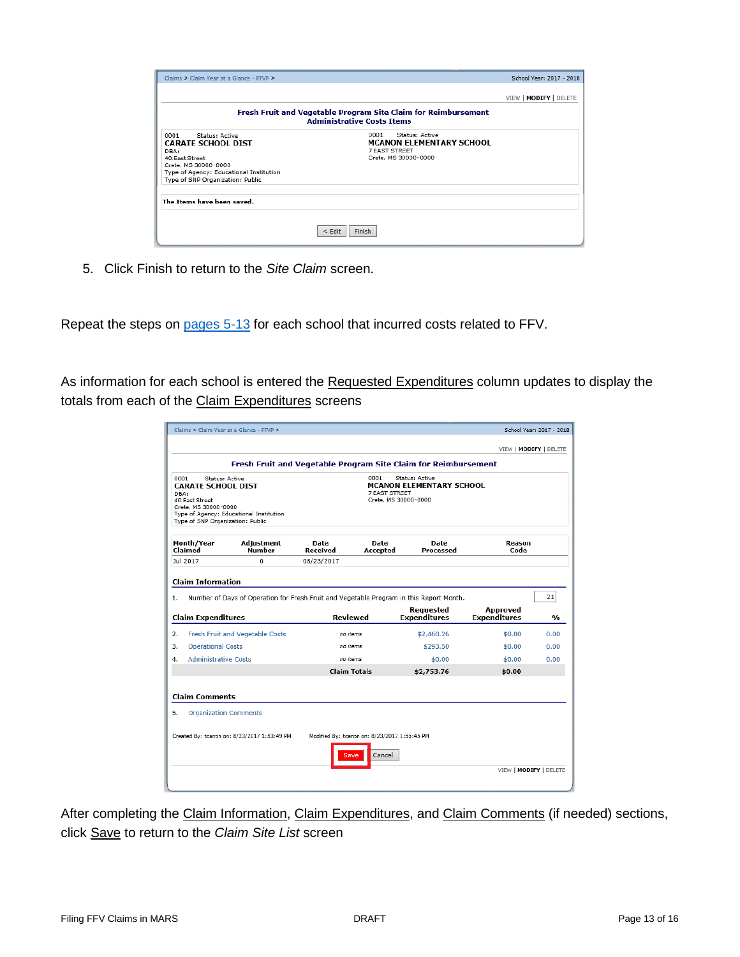| Claims > Claim Year at a Glance - FFVP >                                                                                                                                             |                                                                                                     | School Year: 2017 - 2018 |
|--------------------------------------------------------------------------------------------------------------------------------------------------------------------------------------|-----------------------------------------------------------------------------------------------------|--------------------------|
|                                                                                                                                                                                      |                                                                                                     | VIEW   MODIFY   DELETE   |
|                                                                                                                                                                                      | Fresh Fruit and Vegetable Program Site Claim for Reimbursement<br><b>Administrative Costs Items</b> |                          |
| 0001<br>Status: Active<br><b>CARATE SCHOOL DIST</b><br>DBA:<br>40 East Street<br>Crete, MS 30000-0000<br>Type of Agency: Educational Institution<br>Type of SNP Organization: Public | Status: Active<br>0001<br><b>MCANON ELEMENTARY SCHOOL</b><br>7 EAST STREET<br>Crete, MS 30000-0000  |                          |
| The Items have been saved.                                                                                                                                                           |                                                                                                     |                          |
|                                                                                                                                                                                      | $<$ Edit<br><b>Finish</b>                                                                           |                          |

5. Click Finish to return to the *Site Claim* screen.

Repeat the steps on [pages 5-13](#page-4-0) for each school that incurred costs related to FFV.

As information for each school is entered the Requested Expenditures column updates to display the totals from each of the Claim Expenditures screens

|                                                                                                                          |                                                                             |                                                                                                     |                                                                                            | VIEW   MODIFY   DELETE          |                |
|--------------------------------------------------------------------------------------------------------------------------|-----------------------------------------------------------------------------|-----------------------------------------------------------------------------------------------------|--------------------------------------------------------------------------------------------|---------------------------------|----------------|
|                                                                                                                          |                                                                             | Fresh Fruit and Vegetable Program Site Claim for Reimbursement                                      |                                                                                            |                                 |                |
| 0001<br><b>CARATE SCHOOL DIST</b><br>DBA:<br>40: East Street<br>Crete, MS 30000-0000<br>Type of SNP Organization: Public | Status: Active<br>Type of Agency: Educational Institution                   | 0001                                                                                                | Status: Active<br><b>MCANON ELEMENTARY SCHOOL</b><br>7 EAST STREET<br>Crete, MS 30000-0000 |                                 |                |
| Month/Year<br>Claimed                                                                                                    | Adjustment<br>Number                                                        | Date<br>Received                                                                                    | Date<br>Date<br>Processed<br>Accepted                                                      | Reason<br>Code                  |                |
| Jul 2017                                                                                                                 | $\Omega$                                                                    | 08/23/2017                                                                                          |                                                                                            |                                 |                |
|                                                                                                                          |                                                                             |                                                                                                     |                                                                                            |                                 | 21             |
|                                                                                                                          |                                                                             | Number of Days of Operation for Fresh Fruit and Vegetable Program in this Report Month.<br>Reviewed | <b>Requested</b><br><b>Expenditures</b>                                                    | Approved<br><b>Expenditures</b> | $\mathbf{v}_0$ |
|                                                                                                                          | Fresh Fruit and Vegetable Costs                                             | no items                                                                                            | \$2,460.26                                                                                 | \$0.00                          | 0.00           |
| <b>Operational Costs</b>                                                                                                 |                                                                             | no items                                                                                            | \$293.50                                                                                   | \$0.00                          | 0.00           |
| <b>Administrative Costs</b>                                                                                              |                                                                             | no items                                                                                            | \$0.00                                                                                     | \$0.00                          | 0.00           |
| <b>Claim Information</b><br>1.<br><b>Claim Expenditures</b><br>2.<br>3.<br>4.                                            |                                                                             | <b>Claim Totals</b>                                                                                 | \$2,753.76                                                                                 | \$0.00                          |                |
| <b>Claim Comments</b><br>5.                                                                                              | <b>Organization Comments</b><br>Created By: tcanpn on: 8/23/2017 1:53:49 PM | Modified By: tcanon on: 8/23/2017 1:55:45 PM<br><b>Save</b>                                         | Cancel                                                                                     |                                 |                |

After completing the Claim Information, Claim Expenditures, and Claim Comments (if needed) sections, click Save to return to the *Claim Site List* screen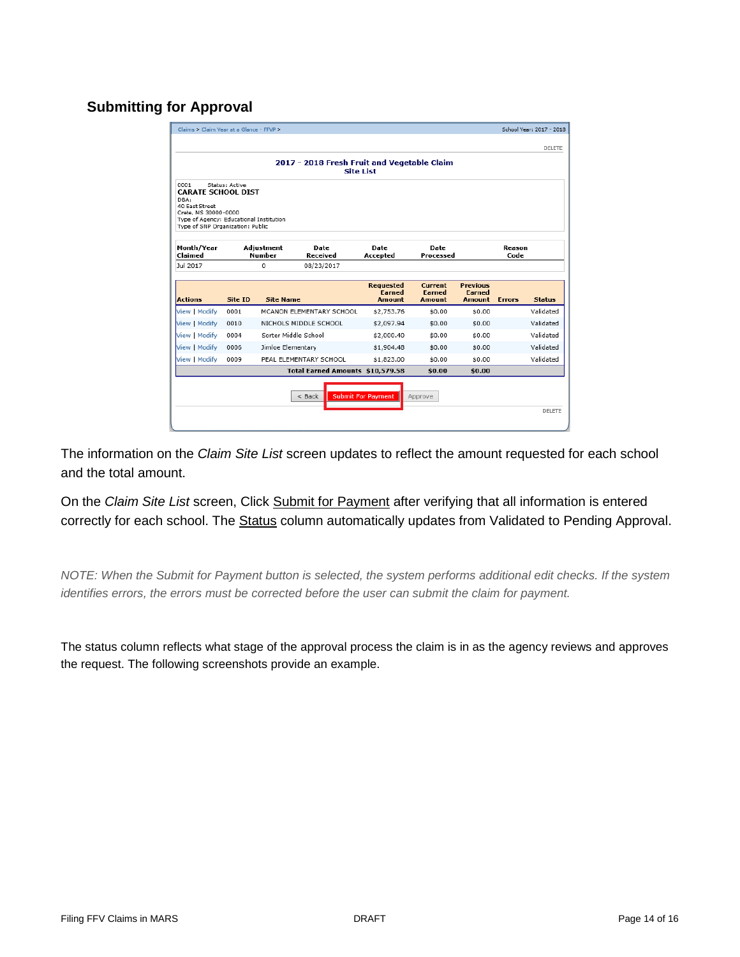#### <span id="page-13-0"></span>**Submitting for Approval**

| Claims > Claim Year at a Glance - FFVP >                                                                                                                           |                |                             |                                             |                                                    |                                    |                                                   |                | School Year: 2017 - 2018<br>DELETE |
|--------------------------------------------------------------------------------------------------------------------------------------------------------------------|----------------|-----------------------------|---------------------------------------------|----------------------------------------------------|------------------------------------|---------------------------------------------------|----------------|------------------------------------|
|                                                                                                                                                                    |                |                             | 2017 - 2018 Fresh Fruit and Vegetable Claim | <b>Site List</b>                                   |                                    |                                                   |                |                                    |
| 0001<br><b>CARATE SCHOOL DIST</b><br>DBA:<br>40 East Street<br>Crete, MS 30000-0000<br>Type of Agency: Educational Institution<br>Type of SNP Organization: Public | Status: Active |                             |                                             |                                                    |                                    |                                                   |                |                                    |
| Month/Year<br>Claimed                                                                                                                                              |                | Adjustment<br><b>Number</b> | <b>Date</b><br>Received                     | <b>Date</b><br>Accepted                            | <b>Date</b><br>Processed           |                                                   | Reason<br>Code |                                    |
| Jul 2017                                                                                                                                                           |                | o                           | 08/23/2017                                  |                                                    |                                    |                                                   |                |                                    |
| <b>Actions</b>                                                                                                                                                     | Site ID        | <b>Site Name</b>            |                                             | <b>Requested</b><br><b>Earned</b><br><b>Amount</b> | Current<br><b>Earned</b><br>Amount | <b>Previous</b><br><b>Earned</b><br><b>Amount</b> | <b>Errors</b>  | <b>Status</b>                      |
| View   Modify                                                                                                                                                      | 0001           |                             | MCANON ELEMENTARY SCHOOL                    | \$2,753.76                                         | \$0.00                             | \$0.00                                            |                | Validated                          |
| View   Modify                                                                                                                                                      | 0010           |                             | NICHOLS MIDDLE SCHOOL                       | \$2,097.94                                         | \$0.00                             | \$0.00                                            |                | Validated                          |
| View   Modify                                                                                                                                                      | 0004           | Sorter Middle School        |                                             | \$2,000.40                                         | \$0.00                             | \$0.00                                            |                | Validated                          |
| View   Modify                                                                                                                                                      | 0006           | Jimloe Elementary           |                                             | \$1,904.48                                         | \$0.00                             | \$0.00                                            |                | Validated                          |
| View   Modify                                                                                                                                                      | 0009           |                             | PEAL ELEMENTARY SCHOOL                      | \$1,823.00                                         | \$0.00                             | \$0.00                                            |                | Validated                          |
|                                                                                                                                                                    |                |                             | Total Earned Amounts \$10,579.58            |                                                    | \$0.00                             | \$0.00                                            |                |                                    |
|                                                                                                                                                                    |                |                             | $<$ Back                                    | <b>Submit For Payment</b>                          | Approve                            |                                                   |                |                                    |
|                                                                                                                                                                    |                |                             |                                             |                                                    |                                    |                                                   |                | DELETE                             |

The information on the *Claim Site List* screen updates to reflect the amount requested for each school and the total amount.

On the *Claim Site List* screen, Click Submit for Payment after verifying that all information is entered correctly for each school. The **Status column automatically updates from Validated to Pending Approval.** 

*NOTE: When the Submit for Payment button is selected, the system performs additional edit checks. If the system identifies errors, the errors must be corrected before the user can submit the claim for payment.* 

The status column reflects what stage of the approval process the claim is in as the agency reviews and approves the request. The following screenshots provide an example.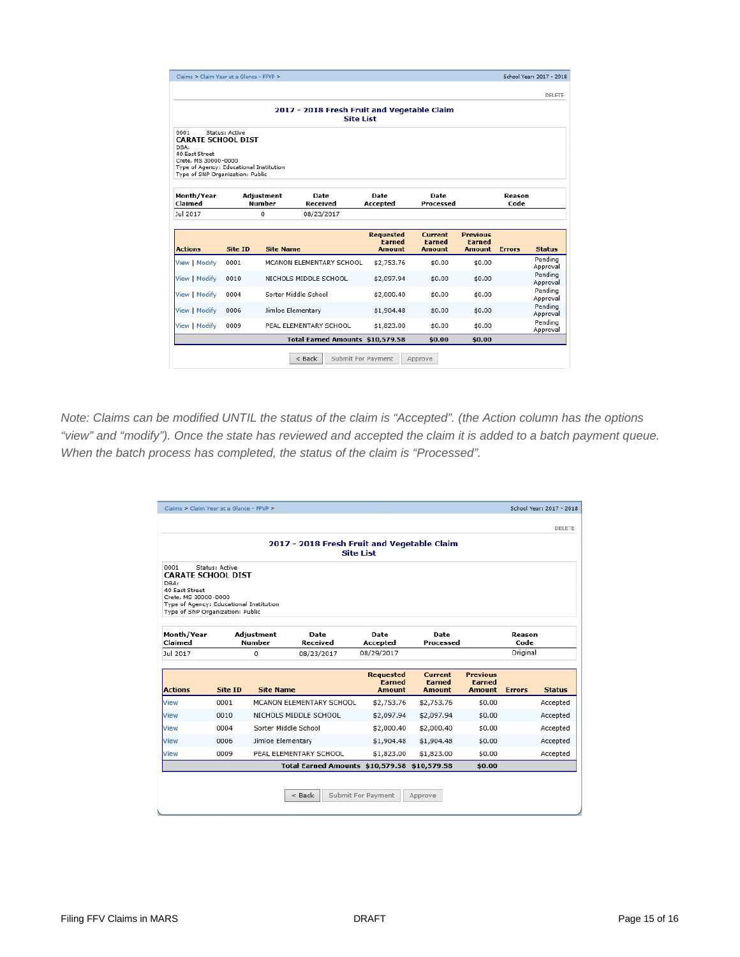| Claims > Claim Year at a Glance - FFVP ><br>School Year: 2017 - 2018 |                |                   |                                  |                    |               |                 |               |                     |  |  |
|----------------------------------------------------------------------|----------------|-------------------|----------------------------------|--------------------|---------------|-----------------|---------------|---------------------|--|--|
|                                                                      |                |                   |                                  |                    |               |                 |               | DELETE              |  |  |
|                                                                      |                |                   |                                  |                    |               |                 |               |                     |  |  |
| 2017 - 2018 Fresh Fruit and Vegetable Claim<br><b>Site List</b>      |                |                   |                                  |                    |               |                 |               |                     |  |  |
| 0001                                                                 | Status: Active |                   |                                  |                    |               |                 |               |                     |  |  |
| <b>CARATE SCHOOL DIST</b>                                            |                |                   |                                  |                    |               |                 |               |                     |  |  |
| DBA:<br>40 East Street                                               |                |                   |                                  |                    |               |                 |               |                     |  |  |
| Crete, MS 30000-0000<br>Type of Agency: Educational Institution      |                |                   |                                  |                    |               |                 |               |                     |  |  |
| Type of SNP Organization: Public                                     |                |                   |                                  |                    |               |                 |               |                     |  |  |
|                                                                      |                |                   |                                  |                    |               |                 |               |                     |  |  |
| Month/Year                                                           |                | Adjustment        | Date                             | Date               | Date          |                 | Reason        |                     |  |  |
| Claimed                                                              |                | Number            | Received                         | Accepted           | Processed     |                 | Code          |                     |  |  |
| Jul 2017                                                             |                | 0                 | 08/23/2017                       |                    |               |                 |               |                     |  |  |
|                                                                      |                |                   |                                  | <b>Requested</b>   | Current       | <b>Previous</b> |               |                     |  |  |
|                                                                      |                |                   |                                  | <b>Farned</b>      | <b>Earned</b> | <b>Earned</b>   |               |                     |  |  |
| <b>Actions</b>                                                       | Site ID        | <b>Site Name</b>  |                                  | Amount             | Amount        | Amount          | <b>Errors</b> | <b>Status</b>       |  |  |
| View   Modify                                                        | 0001           |                   | MCANON ELEMENTARY SCHOOL         | \$2,753.76         | \$0.00        | \$0.00          |               | Pending<br>Approval |  |  |
| View   Modify                                                        | 0010           |                   | NICHOLS MIDDLE SCHOOL            | \$2,097.94         | \$0.00        | \$0.00          |               | Pending<br>Approval |  |  |
| View   Modify                                                        | 0004           |                   | Sorter Middle School             | \$2,000.40         | \$0.00        | \$0.00          |               | Pendina<br>Approval |  |  |
| View   Modify                                                        | 0006           | Jimloe Elementary |                                  | \$1,904.48         | \$0.00        | \$0.00          |               | Pending<br>Approval |  |  |
| View   Modify                                                        | 0009           |                   | PEAL ELEMENTARY SCHOOL           | \$1,823.00         | \$0.00        | \$0.00          |               | Pendina<br>Approval |  |  |
|                                                                      |                |                   | Total Earned Amounts \$10,579.58 |                    | \$0.00        | \$0.00          |               |                     |  |  |
|                                                                      |                |                   | $<$ Back                         | Submit For Payment | Approve       |                 |               |                     |  |  |

*Note: Claims can be modified UNTIL the status of the claim is "Accepted". (the Action column has the options "view" and "modify"). Once the state has reviewed and accepted the claim it is added to a batch payment queue. When the batch process has completed, the status of the claim is "Processed".*

|                                                                                                                                                                     | Claims > Claim Year at a Glance - FFVP > |                                    |                                             |                                             |                                    |                                            |                | School Year: 2017 - 2018 |
|---------------------------------------------------------------------------------------------------------------------------------------------------------------------|------------------------------------------|------------------------------------|---------------------------------------------|---------------------------------------------|------------------------------------|--------------------------------------------|----------------|--------------------------|
|                                                                                                                                                                     |                                          |                                    |                                             |                                             |                                    |                                            |                | DELETE                   |
|                                                                                                                                                                     |                                          |                                    | 2017 - 2018 Fresh Fruit and Vegetable Claim | <b>Site List</b>                            |                                    |                                            |                |                          |
| 0001<br><b>CARATE SCHOOL DIST</b><br>DBA:<br>40: East Street<br>Crete, MS 30000-0000<br>Type of Agency: Educational Institution<br>Type of SNP Organization: Public | Status: Active                           |                                    |                                             |                                             |                                    |                                            |                |                          |
| Month/Year<br>Claimed                                                                                                                                               |                                          | <b>Adjustment</b><br><b>Number</b> | <b>Date</b><br>Received                     | Date<br>Accepted                            | Date<br>Processed                  |                                            | Reason<br>Code |                          |
| Jul 2017                                                                                                                                                            |                                          | 0                                  | 08/23/2017                                  | 08/29/2017                                  |                                    |                                            | Original       |                          |
| <b>Actions</b>                                                                                                                                                      | Site ID                                  | <b>Site Name</b>                   |                                             | <b>Requested</b><br><b>Farned</b><br>Amount | Current<br><b>Farned</b><br>Amount | <b>Previous</b><br><b>Farned</b><br>Amount | <b>Frrors</b>  | <b>Status</b>            |
| View                                                                                                                                                                | 0001                                     |                                    | MCANON ELEMENTARY SCHOOL                    | \$2,753.76                                  | \$2,753.76                         | \$0.00                                     |                | Accepted                 |
| View                                                                                                                                                                | 0010                                     |                                    | NICHOLS MIDDLE SCHOOL                       | \$2,097.94                                  | \$2,097.94                         | \$0.00                                     |                | Accepted                 |
| View                                                                                                                                                                | 0004                                     | Sorter Middle School               |                                             | \$2,000.40                                  | \$2,000.40                         | \$0.00                                     |                | Accepted                 |
|                                                                                                                                                                     | 0006                                     | Jimloe Elementary                  |                                             | \$1,904.48                                  | \$1,904.48                         | \$0.00                                     |                | Accepted                 |
|                                                                                                                                                                     |                                          |                                    |                                             |                                             |                                    | \$0.00                                     |                | Accepted                 |
| View<br>View                                                                                                                                                        | 0009                                     |                                    | PEAL ELEMENTARY SCHOOL                      | \$1,823.00                                  | \$1,823.00                         |                                            |                |                          |